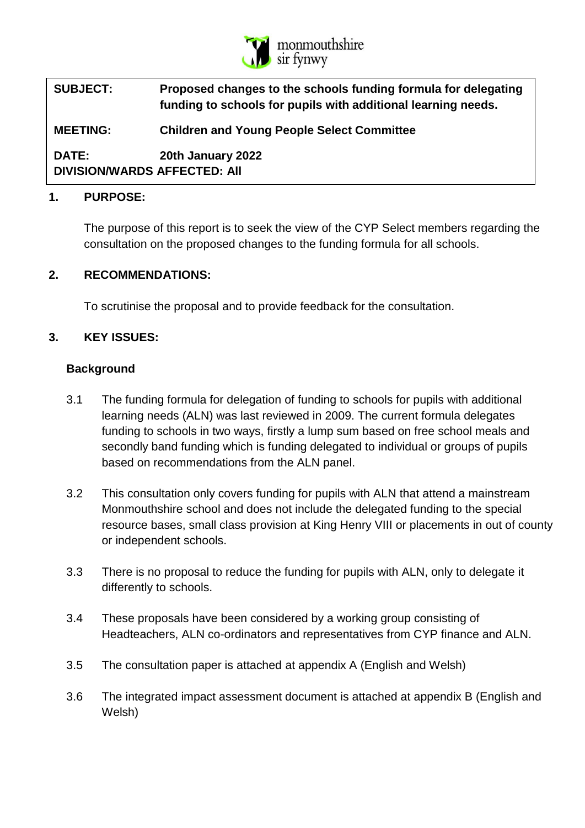

| <b>SUBJECT:</b>                                     | Proposed changes to the schools funding formula for delegating<br>funding to schools for pupils with additional learning needs. |
|-----------------------------------------------------|---------------------------------------------------------------------------------------------------------------------------------|
| <b>MEETING:</b>                                     | <b>Children and Young People Select Committee</b>                                                                               |
| <b>DATE:</b><br><b>DIVISION/WARDS AFFECTED: AII</b> | 20th January 2022                                                                                                               |

#### **1. PURPOSE:**

The purpose of this report is to seek the view of the CYP Select members regarding the consultation on the proposed changes to the funding formula for all schools.

#### **2. RECOMMENDATIONS:**

To scrutinise the proposal and to provide feedback for the consultation.

### **3. KEY ISSUES:**

#### **Background**

- 3.1 The funding formula for delegation of funding to schools for pupils with additional learning needs (ALN) was last reviewed in 2009. The current formula delegates funding to schools in two ways, firstly a lump sum based on free school meals and secondly band funding which is funding delegated to individual or groups of pupils based on recommendations from the ALN panel.
- 3.2 This consultation only covers funding for pupils with ALN that attend a mainstream Monmouthshire school and does not include the delegated funding to the special resource bases, small class provision at King Henry VIII or placements in out of county or independent schools.
- 3.3 There is no proposal to reduce the funding for pupils with ALN, only to delegate it differently to schools.
- 3.4 These proposals have been considered by a working group consisting of Headteachers, ALN co-ordinators and representatives from CYP finance and ALN.
- 3.5 The consultation paper is attached at appendix A (English and Welsh)
- 3.6 The integrated impact assessment document is attached at appendix B (English and Welsh)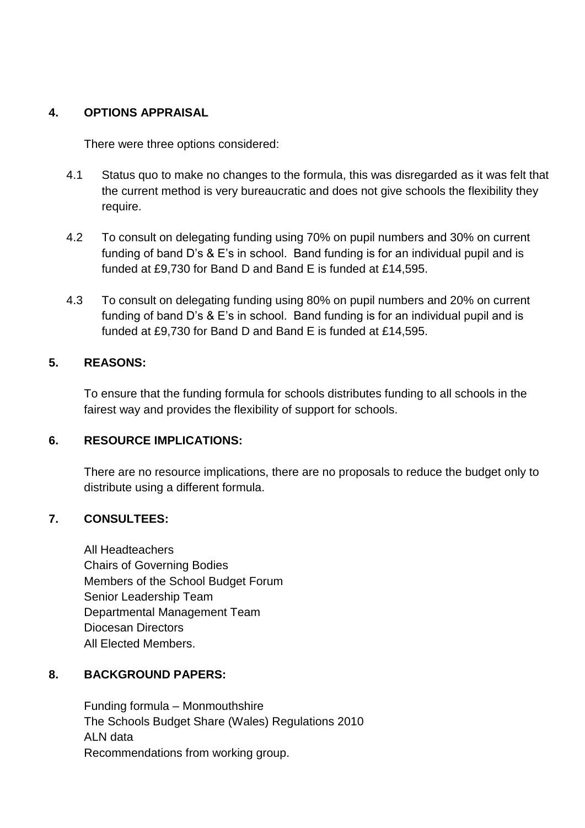### **4. OPTIONS APPRAISAL**

There were three options considered:

- 4.1 Status quo to make no changes to the formula, this was disregarded as it was felt that the current method is very bureaucratic and does not give schools the flexibility they require.
- 4.2 To consult on delegating funding using 70% on pupil numbers and 30% on current funding of band D's & E's in school. Band funding is for an individual pupil and is funded at £9,730 for Band D and Band E is funded at £14,595.
- 4.3 To consult on delegating funding using 80% on pupil numbers and 20% on current funding of band D's & E's in school. Band funding is for an individual pupil and is funded at £9,730 for Band D and Band E is funded at £14,595.

### **5. REASONS:**

To ensure that the funding formula for schools distributes funding to all schools in the fairest way and provides the flexibility of support for schools.

## **6. RESOURCE IMPLICATIONS:**

There are no resource implications, there are no proposals to reduce the budget only to distribute using a different formula.

### **7. CONSULTEES:**

All Headteachers Chairs of Governing Bodies Members of the School Budget Forum Senior Leadership Team Departmental Management Team Diocesan Directors All Elected Members.

### **8. BACKGROUND PAPERS:**

Funding formula – Monmouthshire The Schools Budget Share (Wales) Regulations 2010 ALN data Recommendations from working group.